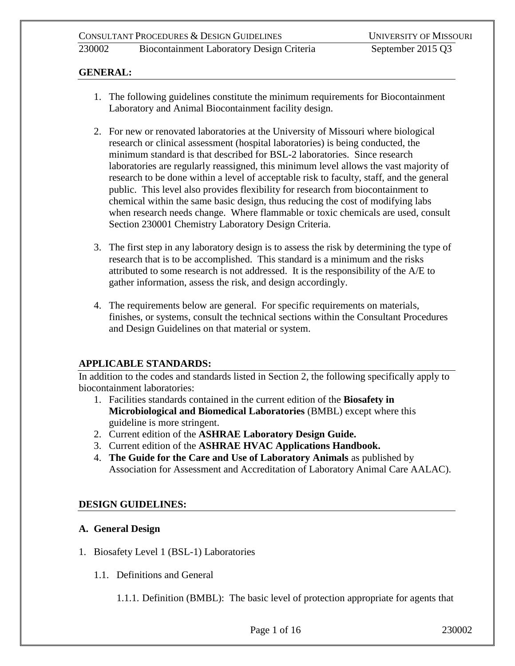## **GENERAL:**

- 1. The following guidelines constitute the minimum requirements for Biocontainment Laboratory and Animal Biocontainment facility design.
- 2. For new or renovated laboratories at the University of Missouri where biological research or clinical assessment (hospital laboratories) is being conducted, the minimum standard is that described for BSL-2 laboratories. Since research laboratories are regularly reassigned, this minimum level allows the vast majority of research to be done within a level of acceptable risk to faculty, staff, and the general public. This level also provides flexibility for research from biocontainment to chemical within the same basic design, thus reducing the cost of modifying labs when research needs change. Where flammable or toxic chemicals are used, consult Section 230001 Chemistry Laboratory Design Criteria.
- 3. The first step in any laboratory design is to assess the risk by determining the type of research that is to be accomplished. This standard is a minimum and the risks attributed to some research is not addressed. It is the responsibility of the A/E to gather information, assess the risk, and design accordingly.
- 4. The requirements below are general. For specific requirements on materials, finishes, or systems, consult the technical sections within the Consultant Procedures and Design Guidelines on that material or system.

## **APPLICABLE STANDARDS:**

In addition to the codes and standards listed in Section 2, the following specifically apply to biocontainment laboratories:

- 1. Facilities standards contained in the current edition of the **Biosafety in Microbiological and Biomedical Laboratories** (BMBL) except where this guideline is more stringent.
- 2. Current edition of the **ASHRAE Laboratory Design Guide.**
- 3. Current edition of the **ASHRAE HVAC Applications Handbook.**
- 4. **The Guide for the Care and Use of Laboratory Animals** as published by Association for Assessment and Accreditation of Laboratory Animal Care AALAC).

## **DESIGN GUIDELINES:**

#### **A. General Design**

- 1. Biosafety Level 1 (BSL-1) Laboratories
	- 1.1. Definitions and General

1.1.1. Definition (BMBL): The basic level of protection appropriate for agents that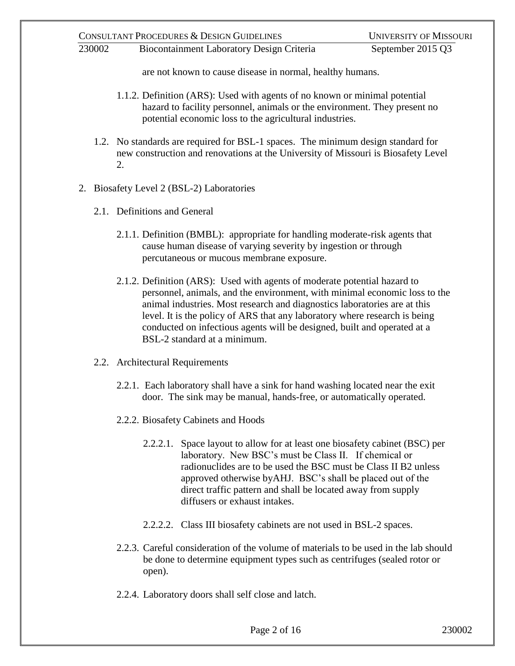are not known to cause disease in normal, healthy humans.

- 1.1.2. Definition (ARS): Used with agents of no known or minimal potential hazard to facility personnel, animals or the environment. They present no potential economic loss to the agricultural industries.
- 1.2. No standards are required for BSL-1 spaces. The minimum design standard for new construction and renovations at the University of Missouri is Biosafety Level 2.
- 2. Biosafety Level 2 (BSL-2) Laboratories
	- 2.1. Definitions and General
		- 2.1.1. Definition (BMBL): appropriate for handling moderate-risk agents that cause human disease of varying severity by ingestion or through percutaneous or mucous membrane exposure.
		- 2.1.2. Definition (ARS): Used with agents of moderate potential hazard to personnel, animals, and the environment, with minimal economic loss to the animal industries. Most research and diagnostics laboratories are at this level. It is the policy of ARS that any laboratory where research is being conducted on infectious agents will be designed, built and operated at a BSL-2 standard at a minimum.
	- 2.2. Architectural Requirements
		- 2.2.1. Each laboratory shall have a sink for hand washing located near the exit door. The sink may be manual, hands-free, or automatically operated.
		- 2.2.2. Biosafety Cabinets and Hoods
			- 2.2.2.1. Space layout to allow for at least one biosafety cabinet (BSC) per laboratory. New BSC's must be Class II. If chemical or radionuclides are to be used the BSC must be Class II B2 unless approved otherwise byAHJ. BSC's shall be placed out of the direct traffic pattern and shall be located away from supply diffusers or exhaust intakes.
			- 2.2.2.2. Class III biosafety cabinets are not used in BSL-2 spaces.
		- 2.2.3. Careful consideration of the volume of materials to be used in the lab should be done to determine equipment types such as centrifuges (sealed rotor or open).
		- 2.2.4. Laboratory doors shall self close and latch.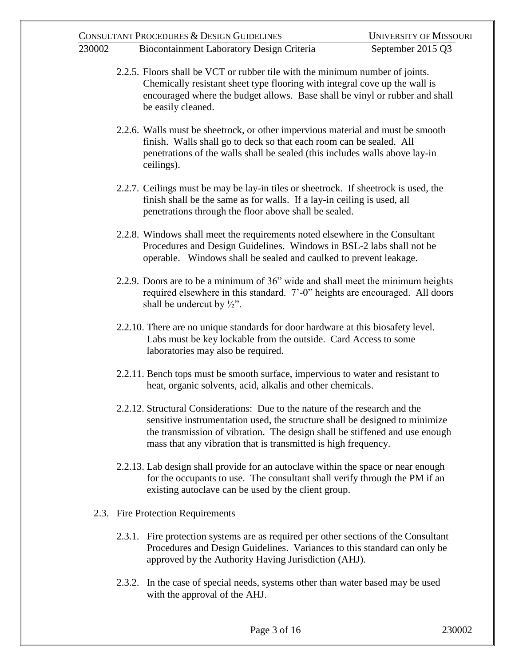| 230002 |                                                                                                                                                                                                                                                                 | CONSULTANT PROCEDURES & DESIGN GUIDELINES<br><b>Biocontainment Laboratory Design Criteria</b>                                                                                                                                                                                                                | <b>UNIVERSITY OF MISSOURI</b><br>September 2015 Q3 |  |
|--------|-----------------------------------------------------------------------------------------------------------------------------------------------------------------------------------------------------------------------------------------------------------------|--------------------------------------------------------------------------------------------------------------------------------------------------------------------------------------------------------------------------------------------------------------------------------------------------------------|----------------------------------------------------|--|
|        | 2.2.5. Floors shall be VCT or rubber tile with the minimum number of joints.<br>Chemically resistant sheet type flooring with integral cove up the wall is<br>encouraged where the budget allows. Base shall be vinyl or rubber and shall<br>be easily cleaned. |                                                                                                                                                                                                                                                                                                              |                                                    |  |
|        |                                                                                                                                                                                                                                                                 | 2.2.6. Walls must be sheetrock, or other impervious material and must be smooth<br>finish. Walls shall go to deck so that each room can be sealed. All<br>penetrations of the walls shall be sealed (this includes walls above lay-in<br>ceilings).                                                          |                                                    |  |
|        |                                                                                                                                                                                                                                                                 | 2.2.7. Ceilings must be may be lay-in tiles or sheetrock. If sheetrock is used, the<br>finish shall be the same as for walls. If a lay-in ceiling is used, all<br>penetrations through the floor above shall be sealed.                                                                                      |                                                    |  |
|        |                                                                                                                                                                                                                                                                 | 2.2.8. Windows shall meet the requirements noted elsewhere in the Consultant<br>Procedures and Design Guidelines. Windows in BSL-2 labs shall not be<br>operable. Windows shall be sealed and caulked to prevent leakage.                                                                                    |                                                    |  |
|        |                                                                                                                                                                                                                                                                 | 2.2.9. Doors are to be a minimum of 36" wide and shall meet the minimum heights<br>required elsewhere in this standard. 7'-0" heights are encouraged. All doors<br>shall be undercut by $\frac{1}{2}$ ".                                                                                                     |                                                    |  |
|        |                                                                                                                                                                                                                                                                 | 2.2.10. There are no unique standards for door hardware at this biosafety level.<br>Labs must be key lockable from the outside. Card Access to some<br>laboratories may also be required.                                                                                                                    |                                                    |  |
|        |                                                                                                                                                                                                                                                                 | 2.2.11. Bench tops must be smooth surface, impervious to water and resistant to<br>heat, organic solvents, acid, alkalis and other chemicals.                                                                                                                                                                |                                                    |  |
|        |                                                                                                                                                                                                                                                                 | 2.2.12. Structural Considerations: Due to the nature of the research and the<br>sensitive instrumentation used, the structure shall be designed to minimize<br>the transmission of vibration. The design shall be stiffened and use enough<br>mass that any vibration that is transmitted is high frequency. |                                                    |  |
|        |                                                                                                                                                                                                                                                                 | 2.2.13. Lab design shall provide for an autoclave within the space or near enough<br>for the occupants to use. The consultant shall verify through the PM if an<br>existing autoclave can be used by the client group.                                                                                       |                                                    |  |
|        |                                                                                                                                                                                                                                                                 | 2.3. Fire Protection Requirements                                                                                                                                                                                                                                                                            |                                                    |  |
|        |                                                                                                                                                                                                                                                                 | 2.3.1. Fire protection systems are as required per other sections of the Consultant<br>Procedures and Design Guidelines. Variances to this standard can only be<br>approved by the Authority Having Jurisdiction (AHJ).                                                                                      |                                                    |  |

2.3.2. In the case of special needs, systems other than water based may be used with the approval of the AHJ.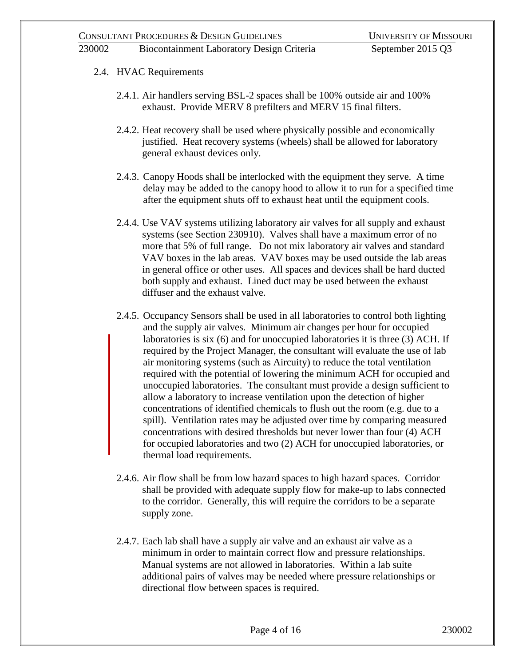## 230002 Biocontainment Laboratory Design Criteria September 2015 Q3

- 2.4. HVAC Requirements
	- 2.4.1. Air handlers serving BSL-2 spaces shall be 100% outside air and 100% exhaust. Provide MERV 8 prefilters and MERV 15 final filters.
	- 2.4.2. Heat recovery shall be used where physically possible and economically justified. Heat recovery systems (wheels) shall be allowed for laboratory general exhaust devices only.
	- 2.4.3. Canopy Hoods shall be interlocked with the equipment they serve. A time delay may be added to the canopy hood to allow it to run for a specified time after the equipment shuts off to exhaust heat until the equipment cools.
	- 2.4.4. Use VAV systems utilizing laboratory air valves for all supply and exhaust systems (see Section 230910). Valves shall have a maximum error of no more that 5% of full range. Do not mix laboratory air valves and standard VAV boxes in the lab areas. VAV boxes may be used outside the lab areas in general office or other uses. All spaces and devices shall be hard ducted both supply and exhaust. Lined duct may be used between the exhaust diffuser and the exhaust valve.
	- 2.4.5. Occupancy Sensors shall be used in all laboratories to control both lighting and the supply air valves. Minimum air changes per hour for occupied laboratories is six (6) and for unoccupied laboratories it is three (3) ACH. If required by the Project Manager, the consultant will evaluate the use of lab air monitoring systems (such as Aircuity) to reduce the total ventilation required with the potential of lowering the minimum ACH for occupied and unoccupied laboratories. The consultant must provide a design sufficient to allow a laboratory to increase ventilation upon the detection of higher concentrations of identified chemicals to flush out the room (e.g. due to a spill). Ventilation rates may be adjusted over time by comparing measured concentrations with desired thresholds but never lower than four (4) ACH for occupied laboratories and two (2) ACH for unoccupied laboratories, or thermal load requirements.
	- 2.4.6. Air flow shall be from low hazard spaces to high hazard spaces. Corridor shall be provided with adequate supply flow for make-up to labs connected to the corridor. Generally, this will require the corridors to be a separate supply zone.
	- 2.4.7. Each lab shall have a supply air valve and an exhaust air valve as a minimum in order to maintain correct flow and pressure relationships. Manual systems are not allowed in laboratories. Within a lab suite additional pairs of valves may be needed where pressure relationships or directional flow between spaces is required.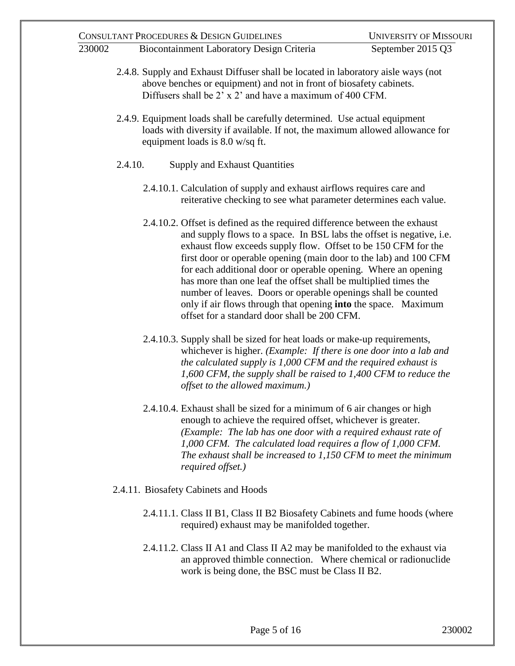|        | CONSULTANT PROCEDURES & DESIGN GUIDELINES                                                                                                                                                                                                                                                                                                                                                                                                                                                                                                                                                                                 | <b>UNIVERSITY OF MISSOURI</b> |  |  |  |  |
|--------|---------------------------------------------------------------------------------------------------------------------------------------------------------------------------------------------------------------------------------------------------------------------------------------------------------------------------------------------------------------------------------------------------------------------------------------------------------------------------------------------------------------------------------------------------------------------------------------------------------------------------|-------------------------------|--|--|--|--|
| 230002 | Biocontainment Laboratory Design Criteria                                                                                                                                                                                                                                                                                                                                                                                                                                                                                                                                                                                 | September 2015 Q3             |  |  |  |  |
|        | 2.4.8. Supply and Exhaust Diffuser shall be located in laboratory aisle ways (not<br>above benches or equipment) and not in front of biosafety cabinets.<br>Diffusers shall be 2' x 2' and have a maximum of 400 CFM.<br>2.4.9. Equipment loads shall be carefully determined. Use actual equipment<br>loads with diversity if available. If not, the maximum allowed allowance for<br>equipment loads is 8.0 w/sq ft.                                                                                                                                                                                                    |                               |  |  |  |  |
|        |                                                                                                                                                                                                                                                                                                                                                                                                                                                                                                                                                                                                                           |                               |  |  |  |  |
|        | 2.4.10.<br><b>Supply and Exhaust Quantities</b>                                                                                                                                                                                                                                                                                                                                                                                                                                                                                                                                                                           |                               |  |  |  |  |
|        | 2.4.10.1. Calculation of supply and exhaust airflows requires care and<br>reiterative checking to see what parameter determines each value.                                                                                                                                                                                                                                                                                                                                                                                                                                                                               |                               |  |  |  |  |
|        | 2.4.10.2. Offset is defined as the required difference between the exhaust<br>and supply flows to a space. In BSL labs the offset is negative, i.e.<br>exhaust flow exceeds supply flow. Offset to be 150 CFM for the<br>first door or operable opening (main door to the lab) and 100 CFM<br>for each additional door or operable opening. Where an opening<br>has more than one leaf the offset shall be multiplied times the<br>number of leaves. Doors or operable openings shall be counted<br>only if air flows through that opening <b>into</b> the space. Maximum<br>offset for a standard door shall be 200 CFM. |                               |  |  |  |  |
|        | 2.4.10.3. Supply shall be sized for heat loads or make-up requirements,<br>whichever is higher. ( <i>Example: If there is one door into a lab and</i><br>the calculated supply is $1,000$ CFM and the required exhaust is<br>$1,600$ CFM, the supply shall be raised to $1,400$ CFM to reduce the<br>offset to the allowed maximum.)                                                                                                                                                                                                                                                                                      |                               |  |  |  |  |
|        | 2.4.10.4. Exhaust shall be sized for a minimum of 6 air changes or high<br>enough to achieve the required offset, whichever is greater.<br>(Example: The lab has one door with a required exhaust rate of<br>$1,000$ CFM. The calculated load requires a flow of $1,000$ CFM.<br>The exhaust shall be increased to $1,150$ CFM to meet the minimum<br>required offset.)                                                                                                                                                                                                                                                   |                               |  |  |  |  |
|        | 2.4.11. Biosafety Cabinets and Hoods                                                                                                                                                                                                                                                                                                                                                                                                                                                                                                                                                                                      |                               |  |  |  |  |
|        | 2.4.11.1. Class II B1, Class II B2 Biosafety Cabinets and fume hoods (where<br>required) exhaust may be manifolded together.                                                                                                                                                                                                                                                                                                                                                                                                                                                                                              |                               |  |  |  |  |
|        | 2.4.11.2. Class II A1 and Class II A2 may be manifolded to the exhaust via<br>an approved thimble connection. Where chemical or radionuclide<br>work is being done, the BSC must be Class II B2.                                                                                                                                                                                                                                                                                                                                                                                                                          |                               |  |  |  |  |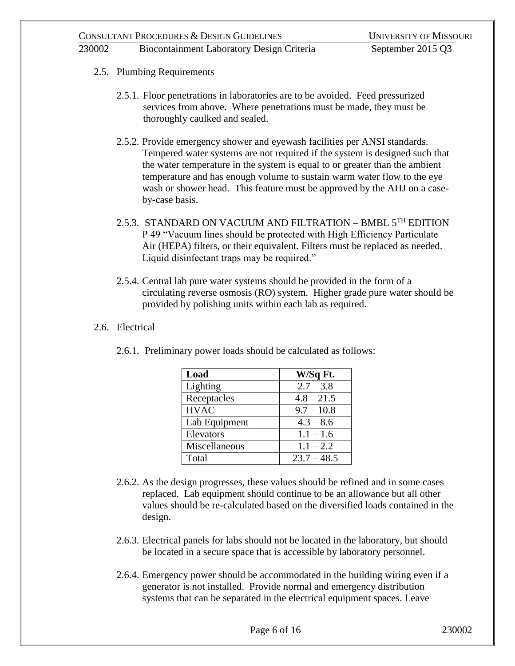## 2.5. Plumbing Requirements

- 2.5.1. Floor penetrations in laboratories are to be avoided. Feed pressurized services from above. Where penetrations must be made, they must be thoroughly caulked and sealed.
- 2.5.2. Provide emergency shower and eyewash facilities per ANSI standards. Tempered water systems are not required if the system is designed such that the water temperature in the system is equal to or greater than the ambient temperature and has enough volume to sustain warm water flow to the eye wash or shower head. This feature must be approved by the AHJ on a caseby-case basis.
- 2.5.3. STANDARD ON VACUUM AND FILTRATION BMBL  $5^{TH}$  EDITION P 49 "Vacuum lines should be protected with High Efficiency Particulate Air (HEPA) filters, or their equivalent. Filters must be replaced as needed. Liquid disinfectant traps may be required."
- 2.5.4. Central lab pure water systems should be provided in the form of a circulating reverse osmosis (RO) system. Higher grade pure water should be provided by polishing units within each lab as required.

## 2.6. Electrical

| Load          | W/Sq Ft.      |
|---------------|---------------|
| Lighting      | $2.7 - 3.8$   |
| Receptacles   | $4.8 - 21.5$  |
| <b>HVAC</b>   | $9.7 - 10.8$  |
| Lab Equipment | $4.3 - 8.6$   |
| Elevators     | $1.1 - 1.6$   |
| Miscellaneous | $1.1 - 2.2$   |
| Total         | $23.7 - 48.5$ |

2.6.1. Preliminary power loads should be calculated as follows:

- 2.6.2. As the design progresses, these values should be refined and in some cases replaced. Lab equipment should continue to be an allowance but all other values should be re-calculated based on the diversified loads contained in the design.
- 2.6.3. Electrical panels for labs should not be located in the laboratory, but should be located in a secure space that is accessible by laboratory personnel.
- 2.6.4. Emergency power should be accommodated in the building wiring even if a generator is not installed. Provide normal and emergency distribution systems that can be separated in the electrical equipment spaces. Leave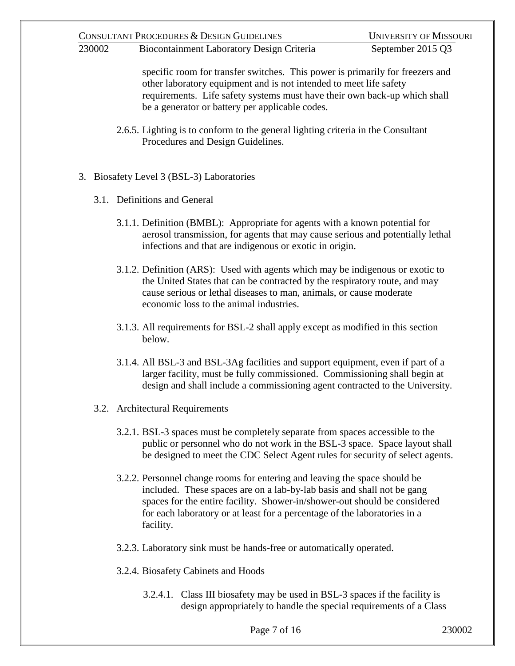230002 Biocontainment Laboratory Design Criteria September 2015 Q3

specific room for transfer switches. This power is primarily for freezers and other laboratory equipment and is not intended to meet life safety requirements. Life safety systems must have their own back-up which shall be a generator or battery per applicable codes.

- 2.6.5. Lighting is to conform to the general lighting criteria in the Consultant Procedures and Design Guidelines.
- 3. Biosafety Level 3 (BSL-3) Laboratories
	- 3.1. Definitions and General
		- 3.1.1. Definition (BMBL): Appropriate for agents with a known potential for aerosol transmission, for agents that may cause serious and potentially lethal infections and that are indigenous or exotic in origin.
		- 3.1.2. Definition (ARS): Used with agents which may be indigenous or exotic to the United States that can be contracted by the respiratory route, and may cause serious or lethal diseases to man, animals, or cause moderate economic loss to the animal industries.
		- 3.1.3. All requirements for BSL-2 shall apply except as modified in this section below.
		- 3.1.4. All BSL-3 and BSL-3Ag facilities and support equipment, even if part of a larger facility, must be fully commissioned. Commissioning shall begin at design and shall include a commissioning agent contracted to the University.
	- 3.2. Architectural Requirements
		- 3.2.1. BSL-3 spaces must be completely separate from spaces accessible to the public or personnel who do not work in the BSL-3 space. Space layout shall be designed to meet the CDC Select Agent rules for security of select agents.
		- 3.2.2. Personnel change rooms for entering and leaving the space should be included. These spaces are on a lab-by-lab basis and shall not be gang spaces for the entire facility. Shower-in/shower-out should be considered for each laboratory or at least for a percentage of the laboratories in a facility.
		- 3.2.3. Laboratory sink must be hands-free or automatically operated.
		- 3.2.4. Biosafety Cabinets and Hoods
			- 3.2.4.1. Class III biosafety may be used in BSL-3 spaces if the facility is design appropriately to handle the special requirements of a Class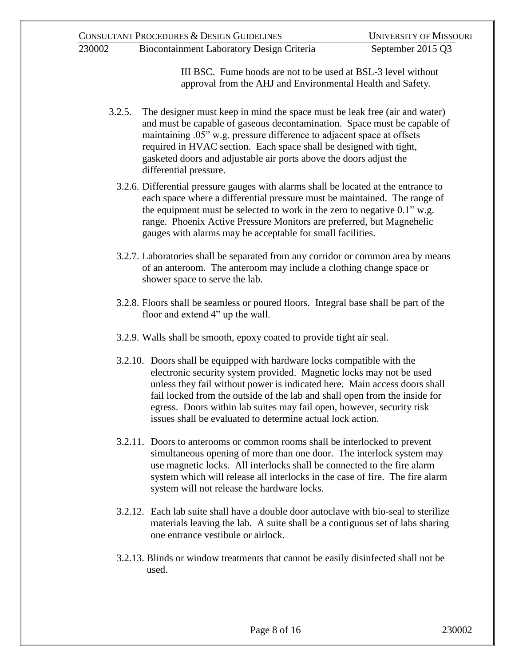III BSC. Fume hoods are not to be used at BSL-3 level without approval from the AHJ and Environmental Health and Safety.

- 3.2.5. The designer must keep in mind the space must be leak free (air and water) and must be capable of gaseous decontamination. Space must be capable of maintaining .05" w.g. pressure difference to adjacent space at offsets required in HVAC section. Each space shall be designed with tight, gasketed doors and adjustable air ports above the doors adjust the differential pressure.
	- 3.2.6. Differential pressure gauges with alarms shall be located at the entrance to each space where a differential pressure must be maintained. The range of the equipment must be selected to work in the zero to negative 0.1" w.g. range. Phoenix Active Pressure Monitors are preferred, but Magnehelic gauges with alarms may be acceptable for small facilities.
	- 3.2.7. Laboratories shall be separated from any corridor or common area by means of an anteroom. The anteroom may include a clothing change space or shower space to serve the lab.
	- 3.2.8. Floors shall be seamless or poured floors. Integral base shall be part of the floor and extend 4" up the wall.
	- 3.2.9. Walls shall be smooth, epoxy coated to provide tight air seal.
	- 3.2.10. Doors shall be equipped with hardware locks compatible with the electronic security system provided. Magnetic locks may not be used unless they fail without power is indicated here. Main access doors shall fail locked from the outside of the lab and shall open from the inside for egress. Doors within lab suites may fail open, however, security risk issues shall be evaluated to determine actual lock action.
	- 3.2.11. Doors to anterooms or common rooms shall be interlocked to prevent simultaneous opening of more than one door. The interlock system may use magnetic locks. All interlocks shall be connected to the fire alarm system which will release all interlocks in the case of fire. The fire alarm system will not release the hardware locks.
	- 3.2.12. Each lab suite shall have a double door autoclave with bio-seal to sterilize materials leaving the lab. A suite shall be a contiguous set of labs sharing one entrance vestibule or airlock.
	- 3.2.13. Blinds or window treatments that cannot be easily disinfected shall not be used.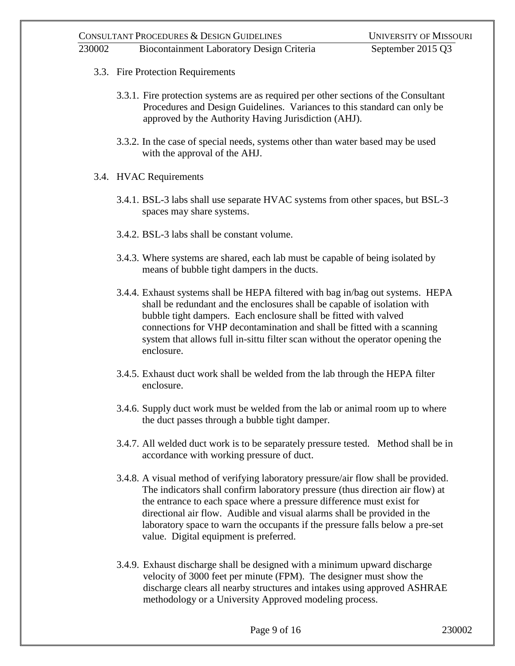# 3.3. Fire Protection Requirements

- 3.3.1. Fire protection systems are as required per other sections of the Consultant Procedures and Design Guidelines. Variances to this standard can only be approved by the Authority Having Jurisdiction (AHJ).
- 3.3.2. In the case of special needs, systems other than water based may be used with the approval of the AHJ.
- 3.4. HVAC Requirements
	- 3.4.1. BSL-3 labs shall use separate HVAC systems from other spaces, but BSL-3 spaces may share systems.
	- 3.4.2. BSL-3 labs shall be constant volume.
	- 3.4.3. Where systems are shared, each lab must be capable of being isolated by means of bubble tight dampers in the ducts.
	- 3.4.4. Exhaust systems shall be HEPA filtered with bag in/bag out systems. HEPA shall be redundant and the enclosures shall be capable of isolation with bubble tight dampers. Each enclosure shall be fitted with valved connections for VHP decontamination and shall be fitted with a scanning system that allows full in-sittu filter scan without the operator opening the enclosure.
	- 3.4.5. Exhaust duct work shall be welded from the lab through the HEPA filter enclosure.
	- 3.4.6. Supply duct work must be welded from the lab or animal room up to where the duct passes through a bubble tight damper.
	- 3.4.7. All welded duct work is to be separately pressure tested. Method shall be in accordance with working pressure of duct.
	- 3.4.8. A visual method of verifying laboratory pressure/air flow shall be provided. The indicators shall confirm laboratory pressure (thus direction air flow) at the entrance to each space where a pressure difference must exist for directional air flow. Audible and visual alarms shall be provided in the laboratory space to warn the occupants if the pressure falls below a pre-set value. Digital equipment is preferred.
	- 3.4.9. Exhaust discharge shall be designed with a minimum upward discharge velocity of 3000 feet per minute (FPM). The designer must show the discharge clears all nearby structures and intakes using approved ASHRAE methodology or a University Approved modeling process.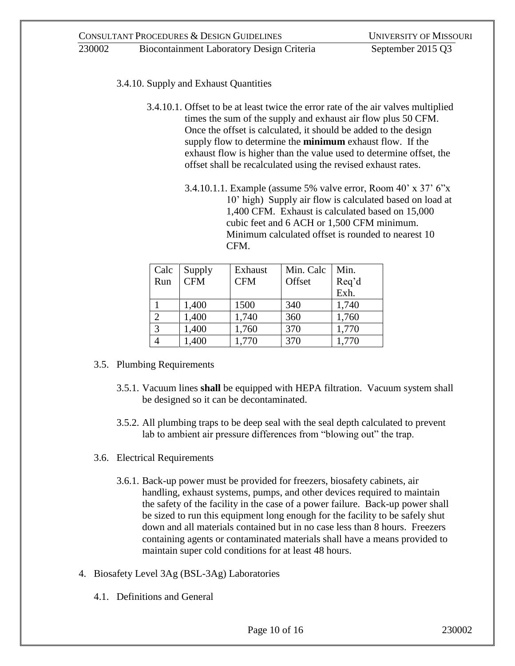- 3.4.10. Supply and Exhaust Quantities
	- 3.4.10.1. Offset to be at least twice the error rate of the air valves multiplied times the sum of the supply and exhaust air flow plus 50 CFM. Once the offset is calculated, it should be added to the design supply flow to determine the **minimum** exhaust flow. If the exhaust flow is higher than the value used to determine offset, the offset shall be recalculated using the revised exhaust rates.
		- 3.4.10.1.1. Example (assume 5% valve error, Room 40' x 37' 6"x 10' high) Supply air flow is calculated based on load at 1,400 CFM. Exhaust is calculated based on 15,000 cubic feet and 6 ACH or 1,500 CFM minimum. Minimum calculated offset is rounded to nearest 10 CFM.

| Calc           | Supply     | Exhaust    | Min. Calc | Min.  |
|----------------|------------|------------|-----------|-------|
| Run            | <b>CFM</b> | <b>CFM</b> | Offset    | Req'd |
|                |            |            |           | Exh.  |
|                | 1,400      | 1500       | 340       | 1,740 |
| $\overline{2}$ | 1,400      | 1,740      | 360       | 1,760 |
| 3              | 1,400      | 1,760      | 370       | 1,770 |
| 4              | 1,400      | 1,770      | 370       | 1,770 |

- 3.5. Plumbing Requirements
	- 3.5.1. Vacuum lines **shall** be equipped with HEPA filtration. Vacuum system shall be designed so it can be decontaminated.
	- 3.5.2. All plumbing traps to be deep seal with the seal depth calculated to prevent lab to ambient air pressure differences from "blowing out" the trap.
- 3.6. Electrical Requirements
	- 3.6.1. Back-up power must be provided for freezers, biosafety cabinets, air handling, exhaust systems, pumps, and other devices required to maintain the safety of the facility in the case of a power failure. Back-up power shall be sized to run this equipment long enough for the facility to be safely shut down and all materials contained but in no case less than 8 hours. Freezers containing agents or contaminated materials shall have a means provided to maintain super cold conditions for at least 48 hours.
- 4. Biosafety Level 3Ag (BSL-3Ag) Laboratories
	- 4.1. Definitions and General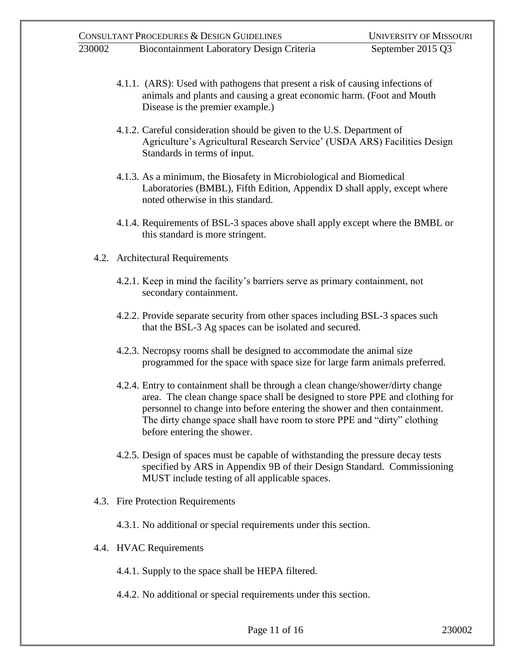- 4.1.1. (ARS): Used with pathogens that present a risk of causing infections of animals and plants and causing a great economic harm. (Foot and Mouth Disease is the premier example.)
- 4.1.2. Careful consideration should be given to the U.S. Department of Agriculture's Agricultural Research Service' (USDA ARS) Facilities Design Standards in terms of input.
- 4.1.3. As a minimum, the Biosafety in Microbiological and Biomedical Laboratories (BMBL), Fifth Edition, Appendix D shall apply, except where noted otherwise in this standard.
- 4.1.4. Requirements of BSL-3 spaces above shall apply except where the BMBL or this standard is more stringent.
- 4.2. Architectural Requirements
	- 4.2.1. Keep in mind the facility's barriers serve as primary containment, not secondary containment.
	- 4.2.2. Provide separate security from other spaces including BSL-3 spaces such that the BSL-3 Ag spaces can be isolated and secured.
	- 4.2.3. Necropsy rooms shall be designed to accommodate the animal size programmed for the space with space size for large farm animals preferred.
	- 4.2.4. Entry to containment shall be through a clean change/shower/dirty change area. The clean change space shall be designed to store PPE and clothing for personnel to change into before entering the shower and then containment. The dirty change space shall have room to store PPE and "dirty" clothing before entering the shower.
	- 4.2.5. Design of spaces must be capable of withstanding the pressure decay tests specified by ARS in Appendix 9B of their Design Standard. Commissioning MUST include testing of all applicable spaces.
- 4.3. Fire Protection Requirements
	- 4.3.1. No additional or special requirements under this section.
- 4.4. HVAC Requirements
	- 4.4.1. Supply to the space shall be HEPA filtered.
	- 4.4.2. No additional or special requirements under this section.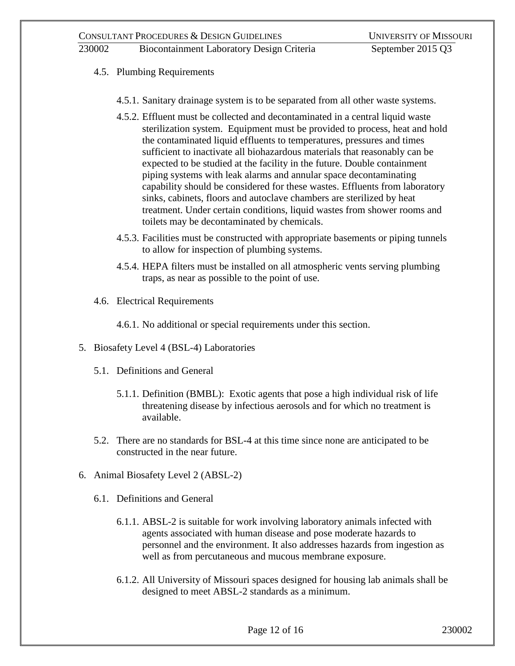- 4.5. Plumbing Requirements
	- 4.5.1. Sanitary drainage system is to be separated from all other waste systems.
	- 4.5.2. Effluent must be collected and decontaminated in a central liquid waste sterilization system. Equipment must be provided to process, heat and hold the contaminated liquid effluents to temperatures, pressures and times sufficient to inactivate all biohazardous materials that reasonably can be expected to be studied at the facility in the future. Double containment piping systems with leak alarms and annular space decontaminating capability should be considered for these wastes. Effluents from laboratory sinks, cabinets, floors and autoclave chambers are sterilized by heat treatment. Under certain conditions, liquid wastes from shower rooms and toilets may be decontaminated by chemicals.
	- 4.5.3. Facilities must be constructed with appropriate basements or piping tunnels to allow for inspection of plumbing systems.
	- 4.5.4. HEPA filters must be installed on all atmospheric vents serving plumbing traps, as near as possible to the point of use.
- 4.6. Electrical Requirements

4.6.1. No additional or special requirements under this section.

- 5. Biosafety Level 4 (BSL-4) Laboratories
	- 5.1. Definitions and General
		- 5.1.1. Definition (BMBL): Exotic agents that pose a high individual risk of life threatening disease by infectious aerosols and for which no treatment is available.
	- 5.2. There are no standards for BSL-4 at this time since none are anticipated to be constructed in the near future.
- 6. Animal Biosafety Level 2 (ABSL-2)
	- 6.1. Definitions and General
		- 6.1.1. ABSL-2 is suitable for work involving laboratory animals infected with agents associated with human disease and pose moderate hazards to personnel and the environment. It also addresses hazards from ingestion as well as from percutaneous and mucous membrane exposure.
		- 6.1.2. All University of Missouri spaces designed for housing lab animals shall be designed to meet ABSL-2 standards as a minimum.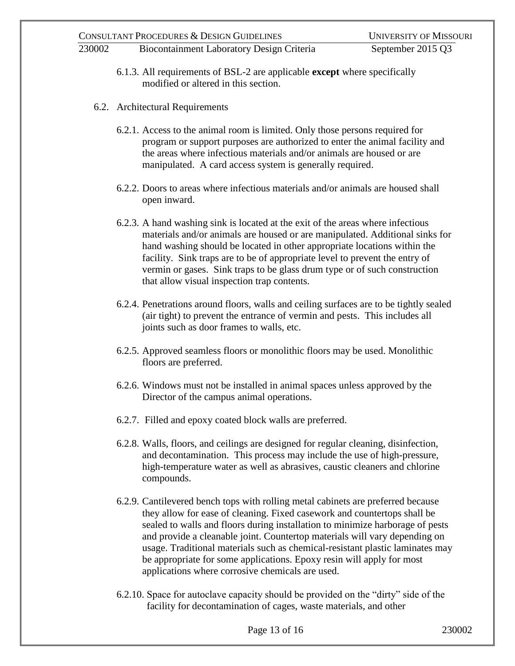- 6.1.3. All requirements of BSL-2 are applicable **except** where specifically modified or altered in this section.
- 6.2. Architectural Requirements
	- 6.2.1. Access to the animal room is limited. Only those persons required for program or support purposes are authorized to enter the animal facility and the areas where infectious materials and/or animals are housed or are manipulated. A card access system is generally required.
	- 6.2.2. Doors to areas where infectious materials and/or animals are housed shall open inward.
	- 6.2.3. A hand washing sink is located at the exit of the areas where infectious materials and/or animals are housed or are manipulated. Additional sinks for hand washing should be located in other appropriate locations within the facility. Sink traps are to be of appropriate level to prevent the entry of vermin or gases. Sink traps to be glass drum type or of such construction that allow visual inspection trap contents.
	- 6.2.4. Penetrations around floors, walls and ceiling surfaces are to be tightly sealed (air tight) to prevent the entrance of vermin and pests. This includes all joints such as door frames to walls, etc.
	- 6.2.5. Approved seamless floors or monolithic floors may be used. Monolithic floors are preferred.
	- 6.2.6. Windows must not be installed in animal spaces unless approved by the Director of the campus animal operations.
	- 6.2.7. Filled and epoxy coated block walls are preferred.
	- 6.2.8. Walls, floors, and ceilings are designed for regular cleaning, disinfection, and decontamination. This process may include the use of high-pressure, high-temperature water as well as abrasives, caustic cleaners and chlorine compounds.
	- 6.2.9. Cantilevered bench tops with rolling metal cabinets are preferred because they allow for ease of cleaning. Fixed casework and countertops shall be sealed to walls and floors during installation to minimize harborage of pests and provide a cleanable joint. Countertop materials will vary depending on usage. Traditional materials such as chemical-resistant plastic laminates may be appropriate for some applications. Epoxy resin will apply for most applications where corrosive chemicals are used.
	- 6.2.10. Space for autoclave capacity should be provided on the "dirty" side of the facility for decontamination of cages, waste materials, and other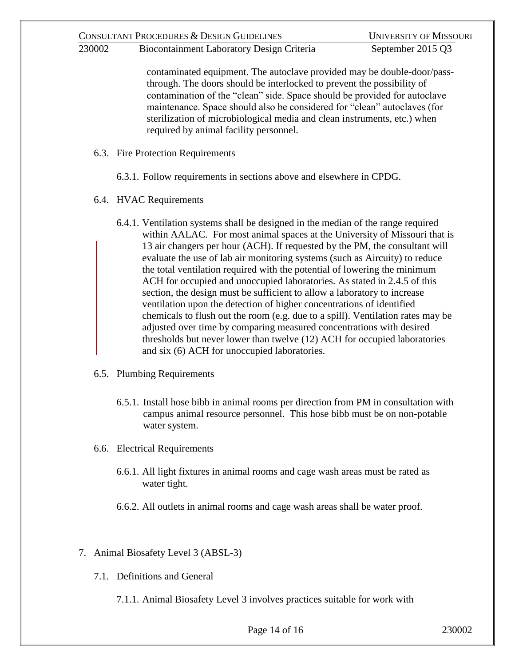230002 Biocontainment Laboratory Design Criteria September 2015 Q3

contaminated equipment. The autoclave provided may be double-door/passthrough. The doors should be interlocked to prevent the possibility of contamination of the "clean" side. Space should be provided for autoclave maintenance. Space should also be considered for "clean" autoclaves (for sterilization of microbiological media and clean instruments, etc.) when required by animal facility personnel.

- 6.3. Fire Protection Requirements
	- 6.3.1. Follow requirements in sections above and elsewhere in CPDG.
- 6.4. HVAC Requirements
	- 6.4.1. Ventilation systems shall be designed in the median of the range required within AALAC. For most animal spaces at the University of Missouri that is 13 air changers per hour (ACH). If requested by the PM, the consultant will evaluate the use of lab air monitoring systems (such as Aircuity) to reduce the total ventilation required with the potential of lowering the minimum ACH for occupied and unoccupied laboratories. As stated in 2.4.5 of this section, the design must be sufficient to allow a laboratory to increase ventilation upon the detection of higher concentrations of identified chemicals to flush out the room (e.g. due to a spill). Ventilation rates may be adjusted over time by comparing measured concentrations with desired thresholds but never lower than twelve (12) ACH for occupied laboratories and six (6) ACH for unoccupied laboratories.
- 6.5. Plumbing Requirements
	- 6.5.1. Install hose bibb in animal rooms per direction from PM in consultation with campus animal resource personnel. This hose bibb must be on non-potable water system.
- 6.6. Electrical Requirements
	- 6.6.1. All light fixtures in animal rooms and cage wash areas must be rated as water tight.
	- 6.6.2. All outlets in animal rooms and cage wash areas shall be water proof.
- 7. Animal Biosafety Level 3 (ABSL-3)
	- 7.1. Definitions and General
		- 7.1.1. Animal Biosafety Level 3 involves practices suitable for work with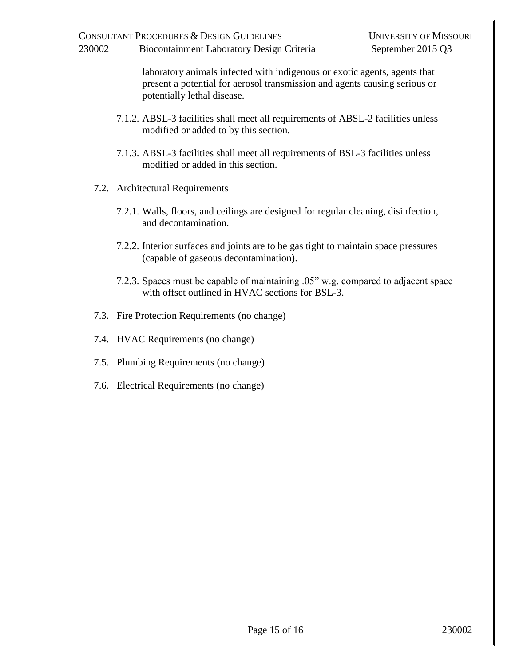laboratory animals infected with indigenous or exotic agents, agents that present a potential for aerosol transmission and agents causing serious or potentially lethal disease.

- 7.1.2. ABSL-3 facilities shall meet all requirements of ABSL-2 facilities unless modified or added to by this section.
- 7.1.3. ABSL-3 facilities shall meet all requirements of BSL-3 facilities unless modified or added in this section.
- 7.2. Architectural Requirements
	- 7.2.1. Walls, floors, and ceilings are designed for regular cleaning, disinfection, and decontamination.
	- 7.2.2. Interior surfaces and joints are to be gas tight to maintain space pressures (capable of gaseous decontamination).
	- 7.2.3. Spaces must be capable of maintaining .05" w.g. compared to adjacent space with offset outlined in HVAC sections for BSL-3.
- 7.3. Fire Protection Requirements (no change)
- 7.4. HVAC Requirements (no change)
- 7.5. Plumbing Requirements (no change)
- 7.6. Electrical Requirements (no change)